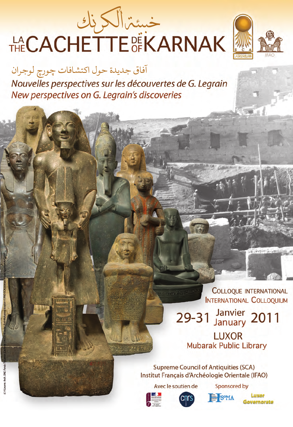# 



آفاق جديدة حول اكتشافات چورچ لوجران Nouvelles perspectives sur les découvertes de G. Legrain New perspectives on G. Legrain's discoveries

> **COLLOQUE INTERNATIONAL INTERNATIONAL COLLOQUIUM**

29-31 Janvier 2011 **LUXOR** 

**Mubarak Public Library** 

**Supreme Council of Antiquities (SCA)** Institut Français d'Archéologie Orientale (IFAO)

Avec le soutien de

Sponsored by **ISOMA** 



lovernorate



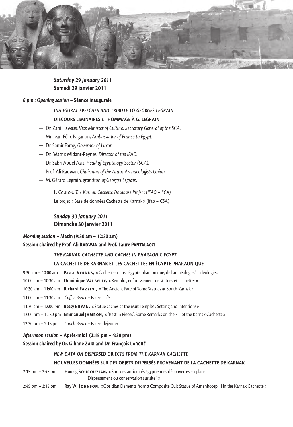

# *Saturday 29 January 2011* **Samedi 29 janvier 2011**

### *6 pm : Opening session* **– Séance inaugurale**

# *Inaugural speeches and tribute to Georges Legrain* **Discours liminaires et hommage à G. Legrain**

- Dr. Zahi Hawass, *Vice Minister of Culture, Secretary General of the SCA.*
- Mr. Jean-Félix Paganon, *Ambassador of France to Egypt.*
- Dr. Samir Farag, *Governor of Luxor.*
- Dr. Béatrix Midant-Reynes, *Director of the IFAO.*
- Dr. Sabri Abdel Aziz, *Head of Egyptology Sector (SCA).*
- Prof. Ali Radwan, *Chairman of the Arabs Archaeologists Union.*
- M. Gérard Legrain, *grandson of Georges Legrain.*

L. Coulon, *The Karnak Cachette Database Project (ifao – sca)*

Le projet «Base de données Cachette de Karnak» (Ifao – CSA)

## *Sunday 30 January 2011* **Dimanche 30 janvier 2011**

# *Morning session* **– Matin (9:30 am – 12:30 am) Session chaired by Prof. Ali Radwan and Prof. Laure Pantalacci**

### *The Karnak Cachette and Caches in Pharaonic Egypt*

### **La Cachette de Karnak et les cachettes en Égypte Pharaonique**

9:30 am – 10:00 am **Pascal Vernus,** «Cachettes dans l'Égypte pharaonique, de l'archéologie à l'idéologie» 10:00 am – 10:30 am **Dominique Valbelle,** «Remploi, enfouissement de statues et cachettes» 10:30 am – 11:00 am **Richard Fazzini,** « The Ancient Fate of Some Statues at South Karnak » 11:00 am – 11:30 am *Coffee Break* – Pause café 11:30 am – 12:00 pm **Betsy Bryan,** «Statue caches at the Mut Temples : Setting and intentions» 12:00 pm – 12:30 pm **Emmanuel Jambon,** «"Rest in Pieces". Some Remarks on the Fill of the Karnak Cachette» 12:30 pm – 2:15 pm *Lunch Break* – Pause déjeuner

### *Afternoon session* **– Après-midi (2:15 pm – 4:30 pm)**

### **Session chaired by Dr. Gihane Zaki and Dr. François Larché**

### *New Data on Dispersed Objects from the Karnak Cachette*

### **Nouvelles données sur des objets dispersés provenant de la Cachette de Karnak**

- 2:15 pm 2:45 pm **Hourig Sourouzian,** «Sort des antiquités égyptiennes découvertes en place. Dispersement ou conservation sur site ?»
- 2:45 pm 3:15 pm **Ray W. Johnson,** «Obsidian Elements from a Composite Cult Statue of Amenhotep III in the Karnak Cachette»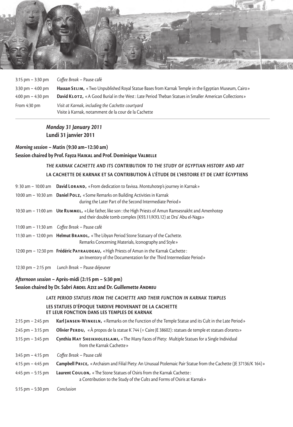

| $3:15$ pm $-3:30$ pm                | Coffee Break – Pause café                                                                                 |
|-------------------------------------|-----------------------------------------------------------------------------------------------------------|
| $3:30 \text{ pm} - 4:00 \text{ pm}$ | Hassan SELIM, «Two Unpublished Royal Statue Bases from Karnak Temple in the Egyptian Museum, Cairo »      |
| $4:00 \text{ pm} - 4:30 \text{ pm}$ | David KLOTZ, «A Good Burial in the West: Late Period Theban Statues in Smaller American Collections»      |
| From 4:30 pm                        | Visit at Karnak, including the Cachette courtyard<br>Visite à Karnak, notamment de la cour de la Cachette |

# *Monday 31 January 2011* **Lundi 31 janvier 2011**

# *Morning session* **– Matin (9:30 am–12:30 am) Session chaired by Prof. Fayza Haikal and Prof. Dominique Valbelle**

# *The Karnak Cachette and its Contribution to the Study of Egyptian History and Art* **La Cachette de Karnak et sa contribution à l'étude de l'histoire et de l'art égyptiens**

|                       | 9: 30 am - 10:00 am <b>David LORAND,</b> «From dedication to favissa. Montuhotep's journey in Karnak»                                                                              |
|-----------------------|------------------------------------------------------------------------------------------------------------------------------------------------------------------------------------|
|                       | 10:00 am - 10:30 am <b>Daniel Polz,</b> «Some Remarks on Building Activities in Karnak<br>during the Later Part of the Second Intermediate Period »                                |
|                       | 10:30 am - 11:00 am Ute RUMMEL, «Like father, like son : the High Priests of Amun Ramsesnakht and Amenhotep<br>and their double tomb complex (K93.11/K93.12) at Dra' Abu el-Naga » |
|                       | 11:00 am - 11:30 am Coffee Break - Pause café                                                                                                                                      |
|                       | 11:30 am - 12:00 pm Helmut BRANDL, «The Libyan Period Stone Statuary of the Cachette.<br>Remarks Concerning Materials, Iconography and Style »                                     |
|                       | 12:00 pm - 12:30 pm Frédéric PAYRAUDEAU, «High Priests of Amun in the Karnak Cachette:<br>an Inventory of the Documentation for the Third Intermediate Period »                    |
| 12:30 pm $-$ 2:15 pm  | Lunch Break - Pause déjeuner                                                                                                                                                       |
|                       | Afternoon session - Après-midi (2:15 pm - 5:30 pm)<br>Session chaired by Dr. Sabri ABDEL AzIz and Dr. Guillemette ANDREU                                                           |
|                       | LATE PERIOD STATUES FROM THE CACHETTE AND THEIR FUNCTION IN KARNAK TEMPLES                                                                                                         |
|                       | LES STATUES D'ÉPOQUE TARDIVE PROVENANT DE LA CACHETTE<br>ET LEUR FONCTION DANS LES TEMPLES DE KARNAK                                                                               |
| $2:15$ pm $- 2:45$ pm | Karl JANSEN-WINKELN, «Remarks on the Function of the Temple Statue and its Cult in the Late Period»                                                                                |
| $2:45$ pm $-3:15$ pm  | Olivier PERDU, «À propos de la statue K 744 (= Caire JE 38602): statues de temple et statues d'orants »                                                                            |
| $3:15$ pm $-3:45$ pm  | Cynthia MAY SHEIKHOLESLAMI, «The Many Faces of Piety: Multiple Statues for a Single Individual<br>from the Karnak Cachette»                                                        |
| $3:45$ pm $-4:15$ pm  | Coffee Break - Pause café                                                                                                                                                          |
| 4:15 pm $-$ 4:45 pm   | Campbell PRICE, «Archaism and Filial Piety: An Unusual Ptolemaic Pair Statue from the Cachette (JE 37136/K 164) »                                                                  |
| 4:45 pm $-$ 5:15 pm   | Laurent COULON, « The Stone Statues of Osiris from the Karnak Cachette:<br>a Contribution to the Study of the Cults and Forms of Osiris at Karnak»                                 |
| 5:15 pm $-$ 5:30 pm   | Conclusion                                                                                                                                                                         |